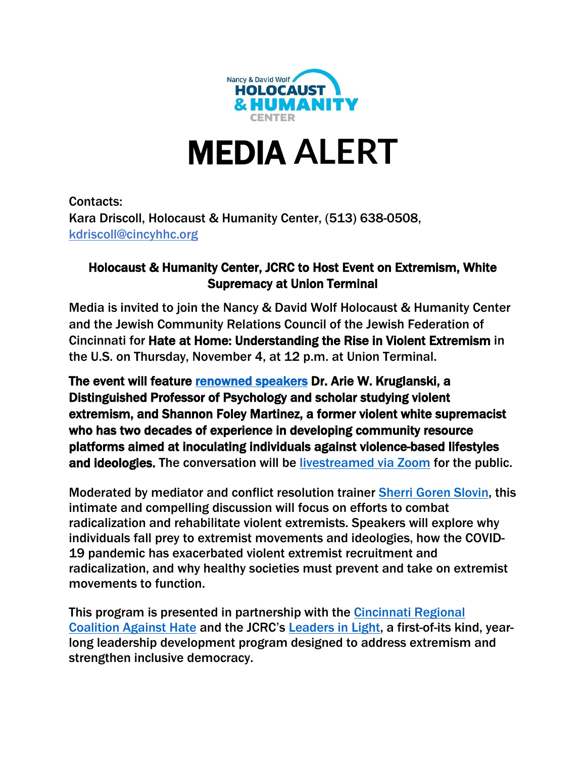

# MEDIA **ALERT**

Contacts: Kara Driscoll, Holocaust & Humanity Center, (513) 638-0508, [kdriscoll@cincyhhc.org](mailto:kdriscoll@cincyhhc.org)

## Holocaust & Humanity Center, JCRC to Host Event on Extremism, White Supremacy at Union Terminal

Media is invited to join the Nancy & David Wolf Holocaust & Humanity Center and the Jewish Community Relations Council of the Jewish Federation of Cincinnati for Hate at Home: Understanding the Rise in Violent Extremism in the U.S. on Thursday, November 4, at 12 p.m. at Union Terminal.

The event will feature [renowned speakers](https://www.holocaustandhumanity.org/event/hate-at-home-why-is-violent-extremism-and-white-supremacy-taking-root-in-the-u-s/) Dr. Arie W. Kruglanski, a Distinguished Professor of Psychology and scholar studying violent extremism, and Shannon Foley Martinez, a former violent white supremacist who has two decades of experience in developing community resource platforms aimed at inoculating individuals against violence-based lifestyles and ideologies. The conversation will be [livestreamed via Zoom](https://us02web.zoom.us/webinar/register/WN_fI4Q6iMAQEWXTjvGTe-rNA) for the public.

Moderated by mediator and conflict resolution trainer [Sherri Goren Slovin,](https://www.leadersinlightinstitute.org/our-stewards/sherri-goren-slovin-bio) this intimate and compelling discussion will focus on efforts to combat radicalization and rehabilitate violent extremists. Speakers will explore why individuals fall prey to extremist movements and ideologies, how the COVID-19 pandemic has exacerbated violent extremist recruitment and radicalization, and why healthy societies must prevent and take on extremist movements to function.

This program is presented in partnership with the [Cincinnati Regional](https://cincinnaticoalition.org/)  [Coalition Against Hate](https://cincinnaticoalition.org/) and the JCRC's [Leaders in Light,](https://www.leadersinlightinstitute.org/) a first-of-its kind, yearlong leadership development program designed to address extremism and strengthen inclusive democracy.